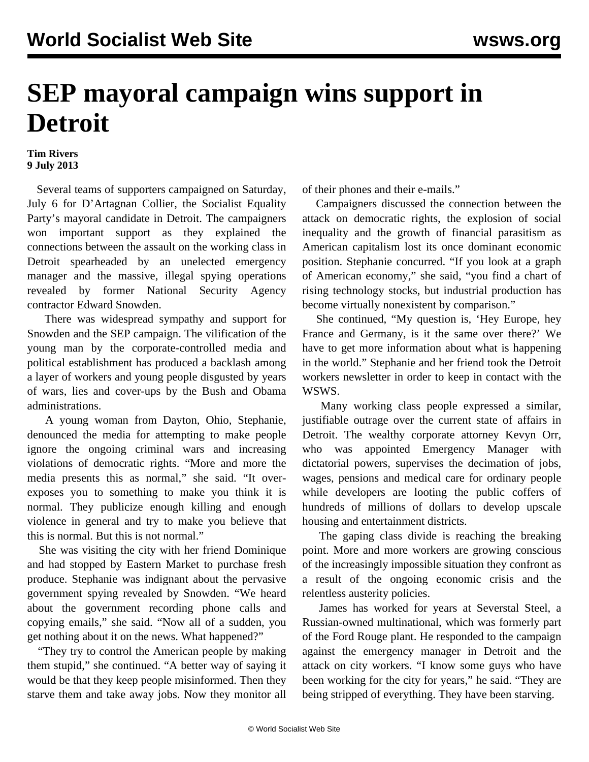## **SEP mayoral campaign wins support in Detroit**

## **Tim Rivers 9 July 2013**

 Several teams of supporters campaigned on Saturday, July 6 for D'Artagnan Collier, the Socialist Equality Party's mayoral candidate in Detroit. The campaigners won important support as they explained the connections between the assault on the working class in Detroit spearheaded by an unelected emergency manager and the massive, illegal spying operations revealed by former National Security Agency contractor Edward Snowden.

 There was widespread sympathy and support for Snowden and the SEP campaign. The vilification of the young man by the corporate-controlled media and political establishment has produced a backlash among a layer of workers and young people disgusted by years of wars, lies and cover-ups by the Bush and Obama administrations.

 A young woman from Dayton, Ohio, Stephanie, denounced the media for attempting to make people ignore the ongoing criminal wars and increasing violations of democratic rights. "More and more the media presents this as normal," she said. "It overexposes you to something to make you think it is normal. They publicize enough killing and enough violence in general and try to make you believe that this is normal. But this is not normal."

 She was visiting the city with her friend Dominique and had stopped by Eastern Market to purchase fresh produce. Stephanie was indignant about the pervasive government spying revealed by Snowden. "We heard about the government recording phone calls and copying emails," she said. "Now all of a sudden, you get nothing about it on the news. What happened?"

 "They try to control the American people by making them stupid," she continued. "A better way of saying it would be that they keep people misinformed. Then they starve them and take away jobs. Now they monitor all of their phones and their e-mails."

 Campaigners discussed the connection between the attack on democratic rights, the explosion of social inequality and the growth of financial parasitism as American capitalism lost its once dominant economic position. Stephanie concurred. "If you look at a graph of American economy," she said, "you find a chart of rising technology stocks, but industrial production has become virtually nonexistent by comparison."

 She continued, "My question is, 'Hey Europe, hey France and Germany, is it the same over there?' We have to get more information about what is happening in the world." Stephanie and her friend took the Detroit workers newsletter in order to keep in contact with the WSWS.

 Many working class people expressed a similar, justifiable outrage over the current state of affairs in Detroit. The wealthy corporate attorney Kevyn Orr, who was appointed Emergency Manager with dictatorial powers, supervises the decimation of jobs, wages, pensions and medical care for ordinary people while developers are looting the public coffers of hundreds of millions of dollars to develop upscale housing and entertainment districts.

 The gaping class divide is reaching the breaking point. More and more workers are growing conscious of the increasingly impossible situation they confront as a result of the ongoing economic crisis and the relentless austerity policies.

 James has worked for years at Severstal Steel, a Russian-owned multinational, which was formerly part of the Ford Rouge plant. He responded to the campaign against the emergency manager in Detroit and the attack on city workers. "I know some guys who have been working for the city for years," he said. "They are being stripped of everything. They have been starving.